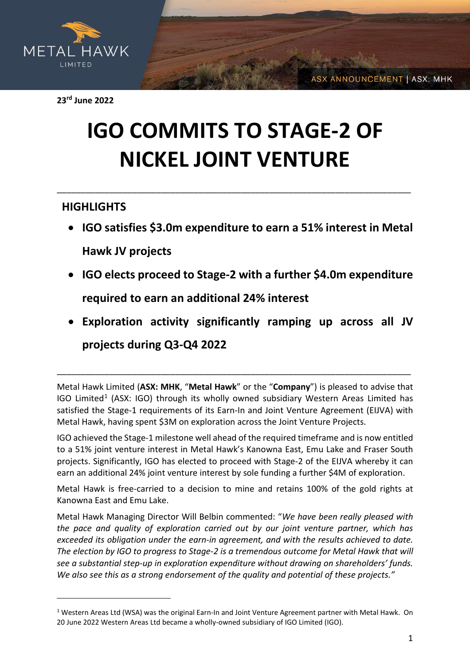

**23rd June 2022**

# **IGO COMMITS TO STAGE-2 OF NICKEL JOINT VENTURE**

\_\_\_\_\_\_\_\_\_\_\_\_\_\_\_\_\_\_\_\_\_\_\_\_\_\_\_\_\_\_\_\_\_\_\_\_\_\_\_\_\_\_\_\_\_\_\_\_\_\_\_\_\_\_\_\_\_\_\_\_\_\_\_\_\_\_\_\_\_\_\_\_\_\_\_

## **HIGHLIGHTS**

- **IGO satisfies \$3.0m expenditure to earn a 51% interest in Metal Hawk JV projects**
- **IGO elects proceed to Stage-2 with a further \$4.0m expenditure required to earn an additional 24% interest**
- **Exploration activity significantly ramping up across all JV projects during Q3-Q4 2022**

Metal Hawk Limited (**ASX: MHK**, "**Metal Hawk**" or the "**Company**") is pleased to advise that IGO Limited<sup>[1](#page-0-0)</sup> (ASX: IGO) through its wholly owned subsidiary Western Areas Limited has satisfied the Stage-1 requirements of its Earn-In and Joint Venture Agreement (EIJVA) with Metal Hawk, having spent \$3M on exploration across the Joint Venture Projects.

\_\_\_\_\_\_\_\_\_\_\_\_\_\_\_\_\_\_\_\_\_\_\_\_\_\_\_\_\_\_\_\_\_\_\_\_\_\_\_\_\_\_\_\_\_\_\_\_\_\_\_\_\_\_\_\_\_\_\_\_\_\_\_\_\_\_\_\_\_\_\_\_\_\_\_

IGO achieved the Stage-1 milestone well ahead of the required timeframe and is now entitled to a 51% joint venture interest in Metal Hawk's Kanowna East, Emu Lake and Fraser South projects. Significantly, IGO has elected to proceed with Stage-2 of the EIJVA whereby it can earn an additional 24% joint venture interest by sole funding a further \$4M of exploration.

Metal Hawk is free-carried to a decision to mine and retains 100% of the gold rights at Kanowna East and Emu Lake.

Metal Hawk Managing Director Will Belbin commented: "*We have been really pleased with the pace and quality of exploration carried out by our joint venture partner, which has exceeded its obligation under the earn-in agreement, and with the results achieved to date. The election by IGO to progress to Stage-2 is a tremendous outcome for Metal Hawk that will see a substantial step-up in exploration expenditure without drawing on shareholders' funds. We also see this as a strong endorsement of the quality and potential of these projects."*

**ASX ANNOUNCEMENT | ASX: MHK** 

<span id="page-0-0"></span><sup>&</sup>lt;sup>1</sup> Western Areas Ltd (WSA) was the original Earn-In and Joint Venture Agreement partner with Metal Hawk. On 20 June 2022 Western Areas Ltd became a wholly-owned subsidiary of IGO Limited (IGO).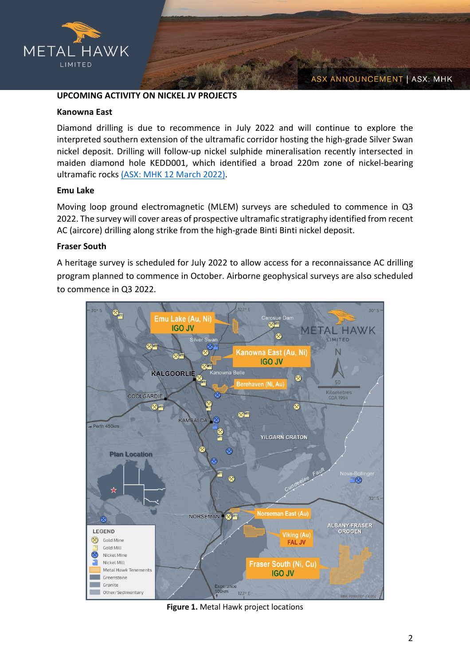

### **UPCOMING ACTIVITY ON NICKEL JV PROJECTS**

#### **Kanowna East**

Diamond drilling is due to recommence in July 2022 and will continue to explore the interpreted southern extension of the ultramafic corridor hosting the high-grade Silver Swan nickel deposit. Drilling will follow-up nickel sulphide mineralisation recently intersected in maiden diamond hole KEDD001, which identified a broad 220m zone of nickel-bearing ultramafic rocks [\(ASX: MHK 12 March 2022\).](https://cdn-api.markitdigital.com/apiman-gateway/ASX/asx-research/1.0/file/2924-02500215-6A1082336?access_token=83ff96335c2d45a094df02a206a39ff4)

#### **Emu Lake**

Moving loop ground electromagnetic (MLEM) surveys are scheduled to commence in Q3 2022. The survey will cover areas of prospective ultramafic stratigraphy identified from recent AC (aircore) drilling along strike from the high-grade Binti Binti nickel deposit.

#### **Fraser South**

A heritage survey is scheduled for July 2022 to allow access for a reconnaissance AC drilling program planned to commence in October. Airborne geophysical surveys are also scheduled to commence in Q3 2022.



**Figure 1.** Metal Hawk project locations